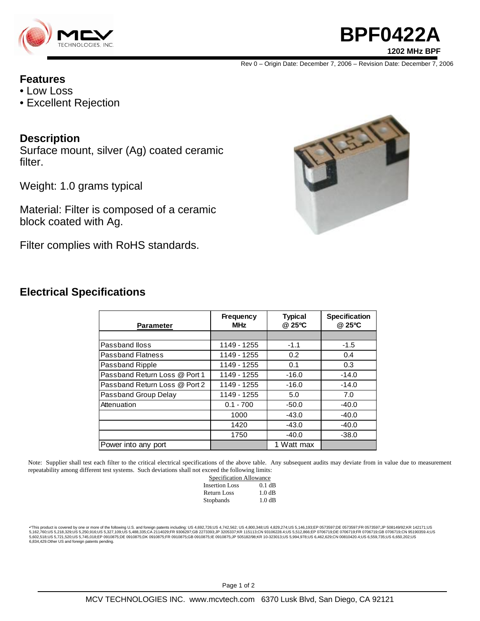

### **BPF0422A 1202 MHz BPF**

Rev 0 – Origin Date: December 7, 2006 – Revision Date: December 7, 2006

#### **Features**

- Low Loss
- Excellent Rejection

#### **Description**

Surface mount, silver (Ag) coated ceramic filter.

Weight: 1.0 grams typical

Material: Filter is composed of a ceramic block coated with Ag.

Filter complies with RoHS standards.



#### **Electrical Specifications**

| <b>Parameter</b>              | <b>Frequency</b><br><b>MHz</b> | <b>Typical</b><br>@ 25°C | <b>Specification</b><br>@ 25°C |
|-------------------------------|--------------------------------|--------------------------|--------------------------------|
|                               |                                |                          |                                |
| Passband lloss                | 1149 - 1255                    | $-1.1$                   | $-1.5$                         |
| <b>Passband Flatness</b>      | 1149 - 1255                    | 0.2                      | 0.4                            |
| Passband Ripple               | 1149 - 1255                    | 0.1                      | 0.3                            |
| Passband Return Loss @ Port 1 | 1149 - 1255                    | $-16.0$                  | $-14.0$                        |
| Passband Return Loss @ Port 2 | 1149 - 1255                    | $-16.0$                  | $-14.0$                        |
| Passband Group Delay          | 1149 - 1255                    | 5.0                      | 7.0                            |
| Attenuation                   | $0.1 - 700$                    | $-50.0$                  | $-40.0$                        |
|                               | 1000                           | $-43.0$                  | $-40.0$                        |
|                               | 1420                           | $-43.0$                  | $-40.0$                        |
|                               | 1750                           | $-40.0$                  | $-38.0$                        |
| Power into any port           |                                | 1 Watt max               |                                |

Note: Supplier shall test each filter to the critical electrical specifications of the above table. Any subsequent audits may deviate from in value due to measurement repeatability among different test systems. Such deviations shall not exceed the following limits:

| $\frac{1}{2}$           |          |  |
|-------------------------|----------|--|
| Specification Allowance |          |  |
| <b>Insertion Loss</b>   | $0.1$ dB |  |
| <b>Return Loss</b>      | 1.0 dB   |  |
| Stopbands               | 1.0 dB   |  |
|                         |          |  |

\*This product is covered by one or more of the following U.S. and foreign patents including: US 4,692,726;US 4,742,562; US 4,800,348;US 4,829,274;US 5,146,193;EP 0573597;DE 0573597;FR 0573597;JP 508149/92;KR 142171;US<br>5,16 6,834,429.Other US and foreign patents pending.

Page 1 of 2